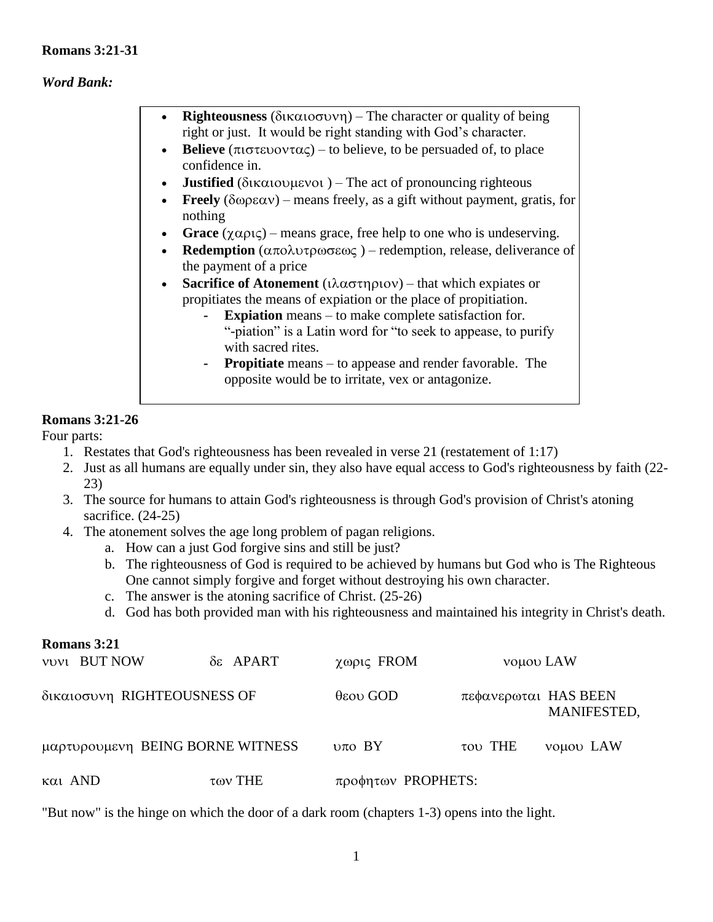## **Romans 3:21-31**

#### *Word Bank:*

- **Righteousness** ( $\delta$ <sup>k</sup> $\alpha$ <sub>1</sub> $\sigma$ <sup>D</sup>) The character or quality of being right or just. It would be right standing with God's character.
- **Believe** ( $\pi$ <sup>t</sup> $\sigma$  $\tau$ ευοντας) to believe, to be persuaded of, to place confidence in.
- **Justified** ( $\delta$ <sup>k</sup> $\alpha$ <sup>1</sup>) The act of pronouncing righteous
- **Freely** ( $\delta \omega \rho \epsilon \alpha v$ ) means freely, as a gift without payment, gratis, for nothing
- Grace  $(\chi \alpha \rho \iota \zeta)$  means grace, free help to one who is undeserving.
- **Redemption** ( $\alpha \pi$ o $\lambda \nu \tau \rho \omega \sigma \epsilon \omega \zeta$ ) redemption, release, deliverance of the payment of a price
- **Sacrifice of Atonement** ( $i\lambda \alpha \sigma \tau \eta \rho i \sigma$ ) that which expiates or propitiates the means of expiation or the place of propitiation.
	- **Expiation** means to make complete satisfaction for. "-piation" is a Latin word for "to seek to appease, to purify with sacred rites.
	- **Propitiate** means to appease and render favorable. The opposite would be to irritate, vex or antagonize.

## **Romans 3:21-26**

Four parts:

- 1. Restates that God's righteousness has been revealed in verse 21 (restatement of 1:17)
- 2. Just as all humans are equally under sin, they also have equal access to God's righteousness by faith (22- 23)
- 3. The source for humans to attain God's righteousness is through God's provision of Christ's atoning sacrifice.  $(24-25)$
- 4. The atonement solves the age long problem of pagan religions.
	- a. How can a just God forgive sins and still be just?
	- b. The righteousness of God is required to be achieved by humans but God who is The Righteous One cannot simply forgive and forget without destroying his own character.
	- c. The answer is the atoning sacrifice of Christ. (25-26)
	- d. God has both provided man with his righteousness and maintained his integrity in Christ's death.

|         | Romans 3:21                      |           |                      |                      |             |
|---------|----------------------------------|-----------|----------------------|----------------------|-------------|
|         | <b>VUVI BUT NOW</b>              | δε APART  | χωρις FROM           | νομου LAW            |             |
|         | δικαιοσυνη RIGHTEOUSNESS OF      |           | $\theta$ εου GOD     | πεφανερωται HAS BEEN | MANIFESTED, |
|         | μαρτυρουμενη BEING BORNE WITNESS |           | $v\pi o$ BY          | του THE              | vouou LAW   |
| και AND |                                  | $των$ THE | $προφητων$ PROPHETS: |                      |             |

"But now" is the hinge on which the door of a dark room (chapters 1-3) opens into the light.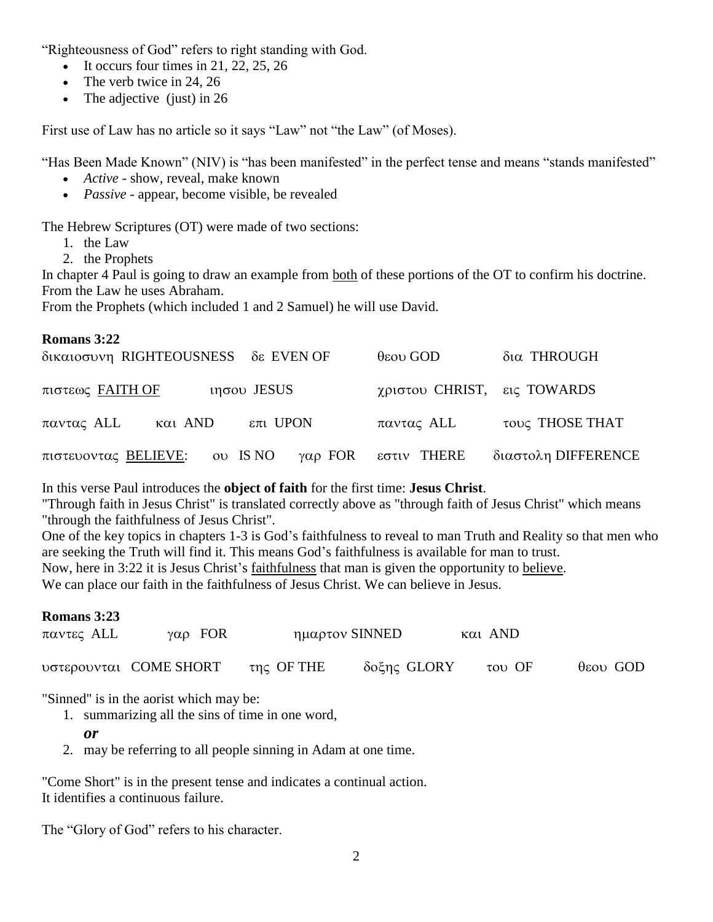"Righteousness of God" refers to right standing with God.

- It occurs four times in 21, 22, 25, 26
- The verb twice in 24, 26
- The adjective (just) in  $26$

First use of Law has no article so it says "Law" not "the Law" (of Moses).

"Has Been Made Known" (NIV) is "has been manifested" in the perfect tense and means "stands manifested"

- *Active* show, reveal, make known
- *Passive* appear, become visible, be revealed

The Hebrew Scriptures (OT) were made of two sections:

- 1. the Law
- 2. the Prophets

In chapter 4 Paul is going to draw an example from both of these portions of the OT to confirm his doctrine. From the Law he uses Abraham.

From the Prophets (which included 1 and 2 Samuel) he will use David.

| Romans 3:22                                         |                             |                     |
|-----------------------------------------------------|-----------------------------|---------------------|
| δικαιοσυνη RIGHTEOUSNESS δε EVEN OF                 | $\theta$ εου GOD            | δια THROUGH         |
| πιστεως FAITH OF<br>$ιησου$ JESUS                   | χριστου CHRIST, εις TOWARDS |                     |
| παντας ALL<br>$και$ AND<br>$επι$ UPON               | παντας ALL                  | τους THOSE THAT     |
| πιστευοντας <b>BELIEVE</b> :<br>ου IS NO<br>γαρ FOR | εστιν THERE                 | διαστολη DIFFERENCE |

In this verse Paul introduces the **object of faith** for the first time: **Jesus Christ**.

"Through faith in Jesus Christ" is translated correctly above as "through faith of Jesus Christ" which means "through the faithfulness of Jesus Christ".

One of the key topics in chapters 1-3 is God's faithfulness to reveal to man Truth and Reality so that men who are seeking the Truth will find it. This means God's faithfulness is available for man to trust. Now, here in 3:22 it is Jesus Christ's faithfulness that man is given the opportunity to believe.

We can place our faith in the faithfulness of Jesus Christ. We can believe in Jesus.

| Romans 3:23 |                        |            |                |                          |                  |
|-------------|------------------------|------------|----------------|--------------------------|------------------|
| παντες ALL  | $\gamma\alpha\rho$ FOR |            | ημαρτον SINNED | και AND                  |                  |
|             | υστερουνται COME SHORT | της OF THE | δοξης GLORY    | $\tau$ <sup>O</sup> V OF | $\theta$ εου GOD |

"Sinned" is in the aorist which may be:

- 1. summarizing all the sins of time in one word,
	- *or*
- 2. may be referring to all people sinning in Adam at one time.

"Come Short" is in the present tense and indicates a continual action. It identifies a continuous failure.

The "Glory of God" refers to his character.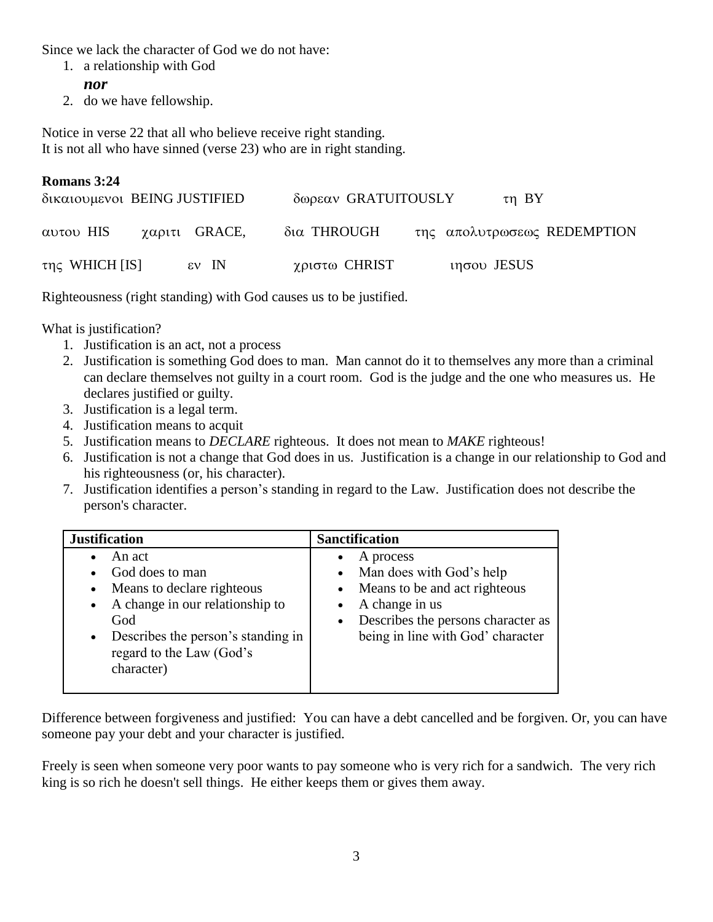Since we lack the character of God we do not have:

- 1. a relationship with God
	- *nor*
- 2. do we have fellowship.

Notice in verse 22 that all who believe receive right standing. It is not all who have sinned (verse 23) who are in right standing.

# **Romans 3:24**

| δικαιουμενοι BEING JUSTIFIED |                 | δωρεαν GRATUITOUSLY |               | $\tau$ n BY                 |
|------------------------------|-----------------|---------------------|---------------|-----------------------------|
| αυτου HIS                    | χαριτι GRACE,   | δια THROUGH         |               | της απολυτρωσεως REDEMPTION |
| $της$ WHICH [IS]             | $\epsilon$ W IN | χριστω CHRIST       | $ιησου$ JESUS |                             |

Righteousness (right standing) with God causes us to be justified.

What is justification?

- 1. Justification is an act, not a process
- 2. Justification is something God does to man. Man cannot do it to themselves any more than a criminal can declare themselves not guilty in a court room. God is the judge and the one who measures us. He declares justified or guilty.
- 3. Justification is a legal term.
- 4. Justification means to acquit
- 5. Justification means to *DECLARE* righteous. It does not mean to *MAKE* righteous!
- 6. Justification is not a change that God does in us. Justification is a change in our relationship to God and his righteousness (or, his character).
- 7. Justification identifies a person's standing in regard to the Law. Justification does not describe the person's character.

| An act<br>A process<br>• Man does with God's help<br>God does to man<br>• Means to be and act righteous<br>Means to declare righteous<br>A change in our relationship to<br>A change in us<br>God<br>being in line with God' character<br>Describes the person's standing in<br>$\bullet$ | <b>Justification</b>     | <b>Sanctification</b>                |
|-------------------------------------------------------------------------------------------------------------------------------------------------------------------------------------------------------------------------------------------------------------------------------------------|--------------------------|--------------------------------------|
| character)                                                                                                                                                                                                                                                                                | regard to the Law (God's | • Describes the persons character as |

Difference between forgiveness and justified: You can have a debt cancelled and be forgiven. Or, you can have someone pay your debt and your character is justified.

Freely is seen when someone very poor wants to pay someone who is very rich for a sandwich. The very rich king is so rich he doesn't sell things. He either keeps them or gives them away.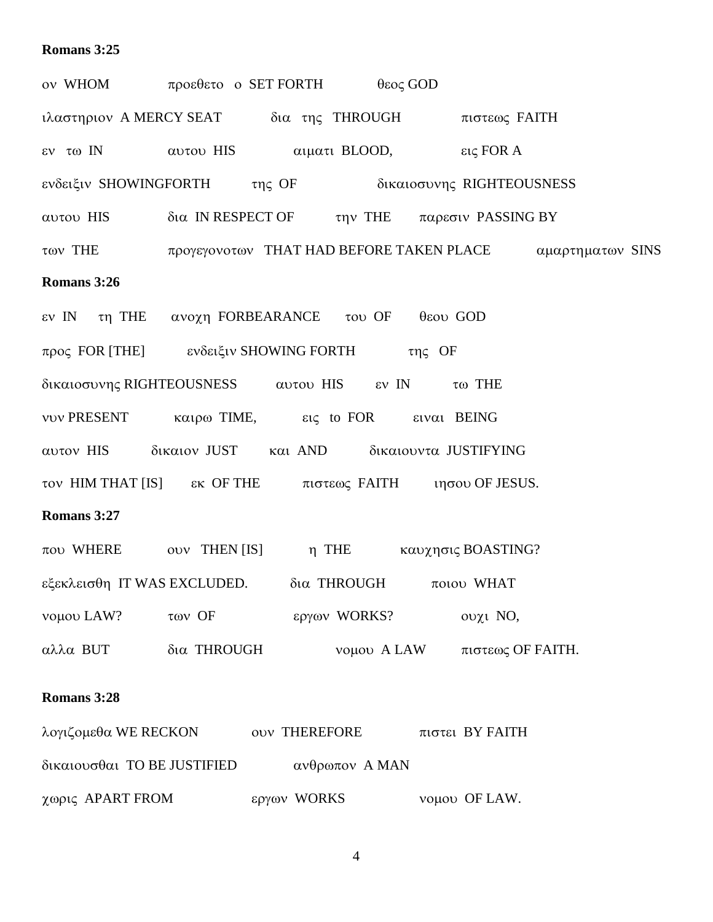# **Romans 3:25**

| ον WHOM προεθετο ο SET FORTH θεος GOD                           |             |              |             |                                                                   |  |
|-----------------------------------------------------------------|-------------|--------------|-------------|-------------------------------------------------------------------|--|
| ιλαστηριον ΑΜΕRCY SEAT δια της THROUGH πιστεως FAITH            |             |              |             |                                                                   |  |
| εν τω IN (αυτού HIS (αιματί BLOOD, εις FOR A                    |             |              |             |                                                                   |  |
| ενδειξιν SHOWINGFORTH της OF δικαιοσυνης RIGHTEOUSNESS          |             |              |             |                                                                   |  |
| αυτου HIS δια IN RESPECT OF την THE παρεσιν PASSING BY          |             |              |             |                                                                   |  |
|                                                                 |             |              |             | των THE προγεγονοτων THAT HAD BEFORE TAKEN PLACE αμαρτηματων SINS |  |
| Romans 3:26                                                     |             |              |             |                                                                   |  |
| εν IN τη THE ανοχη FORBEARANCE του OF θεου GOD                  |             |              |             |                                                                   |  |
| προς FOR [THE] ενδειξιν SHOWING FORTH της OF                    |             |              |             |                                                                   |  |
| δικαιοσυνης RIGHTEOUSNESS αυτου HIS εν IN τω THE                |             |              |             |                                                                   |  |
| νυν PRESENT καιρω TIME, εις to FOR ειναι BEING                  |             |              |             |                                                                   |  |
| αυτον HIS δικαιον JUST και AND δικαιουντα JUSTIFYING            |             |              |             |                                                                   |  |
| τον ΗΙΜ ΤΗΑΤ [IS] εκ ΟΕ ΤΗΕ πιστεως FAITH τησου OF JESUS.       |             |              |             |                                                                   |  |
| Romans 3:27                                                     |             |              |             |                                                                   |  |
| που WHERE ouv THEN [IS] η THE καυχησις BOASTING?                |             |              |             |                                                                   |  |
| εξεκλεισθη IT WAS EXCLUDED. δια THROUGH ποιου WHAT              |             |              |             |                                                                   |  |
| νομου LAW?                                                      | των OF      | εργων WORKS? |             | ουχι NO,                                                          |  |
| αλλα BUT                                                        | δια THROUGH |              | νομου A LAW | πιστεως ΟΕ ΕΑΙΤΗ.                                                 |  |
| Romans 3:28                                                     |             |              |             |                                                                   |  |
| λογιζομεθα WE RECKON<br><b>OUV THEREFORE</b><br>πιστει BY FAITH |             |              |             |                                                                   |  |
| δικαιουσθαι ΤΟ ΒΕ JUSTIFIED<br>ανθρωπον Α ΜΑΝ                   |             |              |             |                                                                   |  |

χωρις APART FROM **εργων WORKS** νομου OF LAW.

4